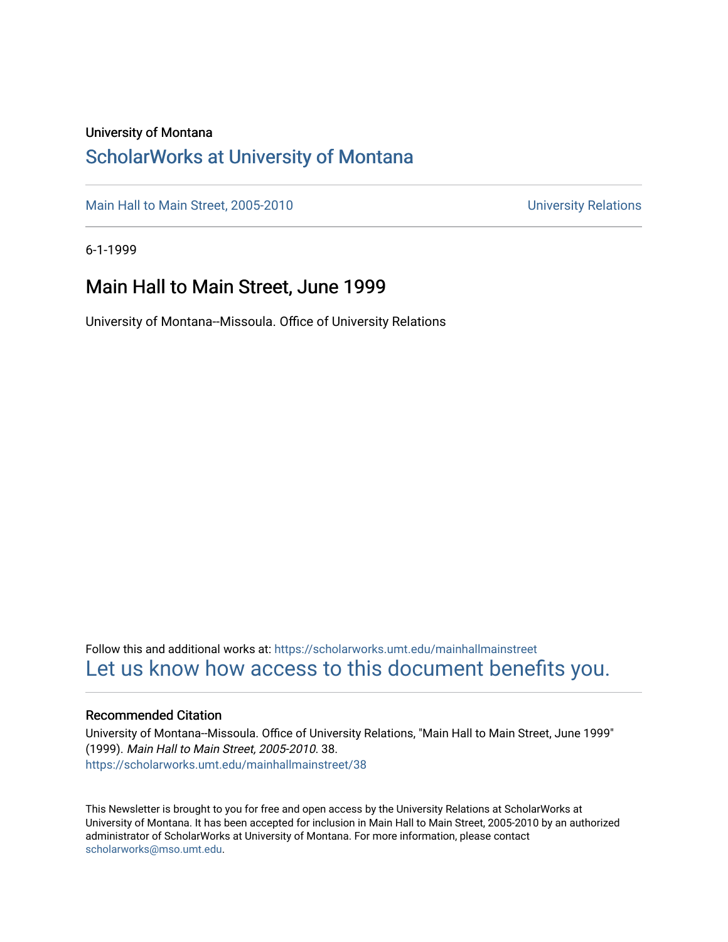### University of Montana

# [ScholarWorks at University of Montana](https://scholarworks.umt.edu/)

[Main Hall to Main Street, 2005-2010](https://scholarworks.umt.edu/mainhallmainstreet) Main Hall to Main Street, 2005-2010

6-1-1999

## Main Hall to Main Street, June 1999

University of Montana--Missoula. Office of University Relations

Follow this and additional works at: [https://scholarworks.umt.edu/mainhallmainstreet](https://scholarworks.umt.edu/mainhallmainstreet?utm_source=scholarworks.umt.edu%2Fmainhallmainstreet%2F38&utm_medium=PDF&utm_campaign=PDFCoverPages) [Let us know how access to this document benefits you.](https://goo.gl/forms/s2rGfXOLzz71qgsB2) 

### Recommended Citation

University of Montana--Missoula. Office of University Relations, "Main Hall to Main Street, June 1999" (1999). Main Hall to Main Street, 2005-2010. 38. [https://scholarworks.umt.edu/mainhallmainstreet/38](https://scholarworks.umt.edu/mainhallmainstreet/38?utm_source=scholarworks.umt.edu%2Fmainhallmainstreet%2F38&utm_medium=PDF&utm_campaign=PDFCoverPages) 

This Newsletter is brought to you for free and open access by the University Relations at ScholarWorks at University of Montana. It has been accepted for inclusion in Main Hall to Main Street, 2005-2010 by an authorized administrator of ScholarWorks at University of Montana. For more information, please contact [scholarworks@mso.umt.edu.](mailto:scholarworks@mso.umt.edu)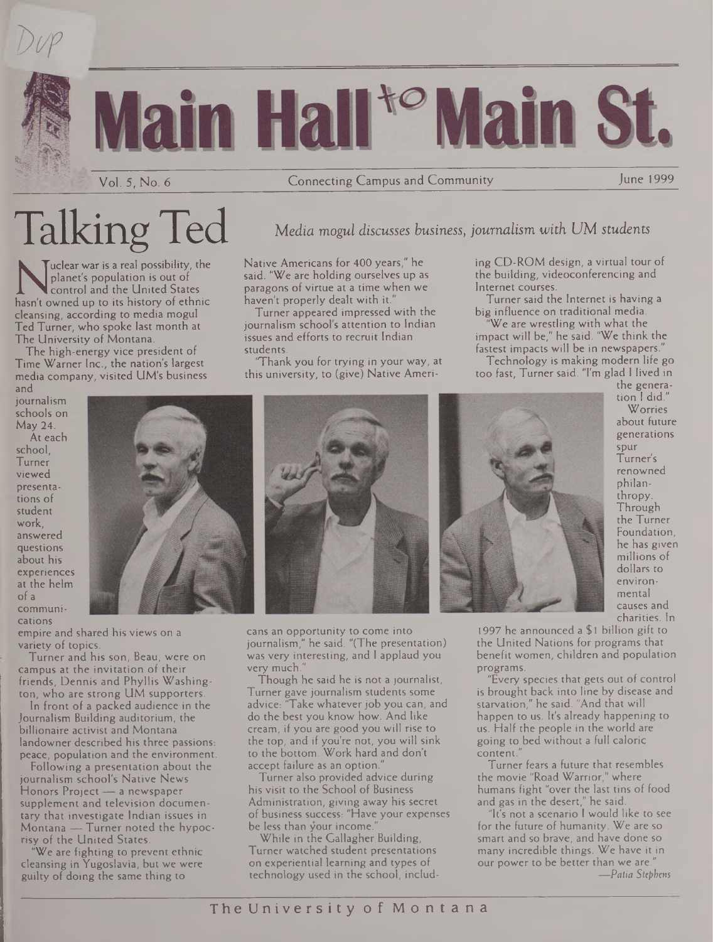





Vol. 5, No. 6 Connecting Campus and Community June 1999

# Talking Ted *Media mogul discusses business, journalism with UM students*

planet's population is out of<br>hasn't owned up to its history of ethnic<br>cleansing according to media mogul uclear war is a real possibility, the planet's population is out of control and the United States cleansing, according to media mogul Ted Turner, who spoke last month at The University of Montana.

The high-energy vice president of Time Warner Inc., the nation's largest media company, visited UM's business and

Native Americans for 400 years," he said. "We are holding ourselves up as paragons of virtue at a time when we haven't properly dealt with it.

Turner appeared impressed with the journalism school's attention to Indian issues and efforts to recruit Indian students.

'Thank you for trying in your way, at this university, to (give) Native Ameriing CD-ROM design, a virtual tour of the building, videoconferencing and Internet courses.

Turner said the Internet is having a big influence on traditional media.

We are wrestling with what the impact will be," he said. 'We think the fastest impacts will be in newspapers."

Technology is making modern life go too fast, Turner said. "I'm glad <sup>I</sup> lived in

journalism schools on May 24. At each

school, Turner viewed presentations of student work, answered questions about his experiences at the helm of a communications



empire and shared his views on a variety of topics.

Turner and his son, Beau, were on Campus at the invitation of their friends, Dennis and Phyllis Washington, who are strong UM supporters.

In front of a packed audience in the Journalism Building auditorium, the billionaire activist and Montana landowner described his three passions: peace, population and the environment.

Following a presentation about the journalism school's Native News Honors Project — a newspaper supplement and television documentary that investigate Indian issues in Montana — Turner noted the hypocrisy of the United States.

'We are fighting to prevent ethnic cleansing in Yugoslavia, but we were guilty of doing the same thing to



cans an opportunity to come into journalism," he said. "(The presentation) was very interesting, and <sup>I</sup> applaud you very much."

Though he said he is not a journalist, Turner gave journalism students some advice: "Take whatever job you can, and do the best you know how. And like cream, if you are good you will rise to the top, and if you're not, you will sink to the bottom. Work hard and don't accept failure as an option."

Turner also provided advice during his visit to the School of Business Administration, giving away his secret of business success: "Have your expenses be less than your income.

While in the Gallagher Building, Turner watched student presentations on experiential learning and types of technology used in the school, includ-



the generation <sup>I</sup> did." Worries about future generations spur Turner's renowned philanthropy. Through the Turner Foundation, he has given millions of dollars to environmental causes and charities. In

1997 he announced a \$1 billion gift to the United Nations for programs that benefit women, children and population programs.

"Every species that gets out of control is brought back into line by disease and starvation," he said. "And that will happen to us. It's already happening to us. Half the people in the world are going to bed without a full caloric content.

Turner fears a future that resembles the movie "Road Warrior," where humans fight "over the last tins of food and gas in the desert," he said.

"It's not a scenario <sup>I</sup> would like to see for the future of humanity. We are so smart and so brave, and have done so many incredible things. We have it in our power to be better than we are." *—Patia Stephens*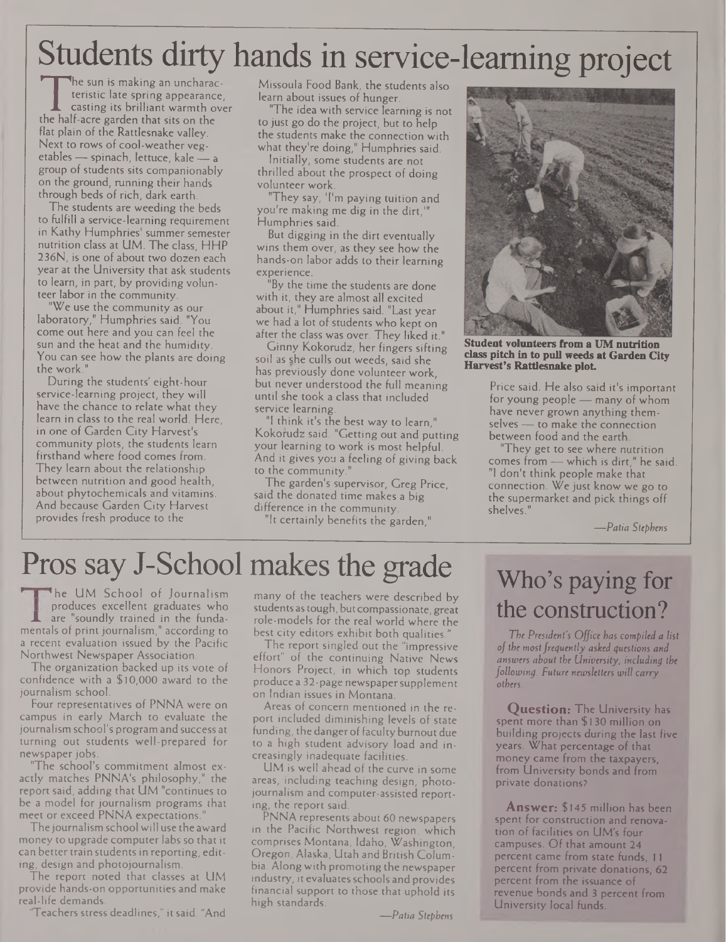# Students dirty hands in service-learning project

The sun is making an uncharacteristic late spring appearance,<br>
casting its brilliant warmth over<br>
the half-acre garden that sits on the<br>
flat plain of the Rattlesnake valley he sun is making an uncharacteristic late spring appearance, casting its brilliant warmth over flat plain of the Rattlesnake valley. Next to rows of cool-weather vegetables — spinach, lettuce, kale — a group of students sits companionably on the ground, running their hands through beds of rich, dark earth.

The students are weeding the beds to fulfill a service-learning requirement in Kathy Humphries' summer semester nutrition class at UM. The class, HHP 236N, is one of about two dozen each year at the University that ask students to learn, in part, by providing volunteer labor in the community.

"We use the community as our laboratory," Humphries said. "You come out here and you can feel the sun and the heat and the humidity. You can see how the plants are doing the work."

During the students' eight-hour service-learning project, they will have the chance to relate what they learn in class to the real world. Here, in one of Garden City Harvest's community plots, the students learn firsthand where food comes from. They learn about the relationship between nutrition and good health, about phytochemicals and vitamins. And because Garden City Harvest provides fresh produce to the

Missoula Food Bank, the students also learn about issues of hunger.

"The idea with service learning is not to just go do the project, but to help the students make the connection with what they're doing," Humphries said.

Initially, some students are not thrilled about the prospect of doing volunteer work.

"They say, 'I'm paying tuition and you're making me dig in the dirt." Humphries said.

But digging in the dirt eventually wins them over, as they see how the hands-on labor adds to their learning experience.

"By the time the students are done with it, they are almost all excited about it," Humphries said. "Last year we had a lot of students who kept on after the class was over. They liked it."

Ginny Kokorudz, her fingers sifting soil as she culls out weeds, said she has previously done volunteer work, but never understood the full meaning until she took a class that included service learning.

"I think it's the best way to learn," Kokorudz said. "Getting out and putting your learning to work is most helpful. And it gives you a feeling of giving back to the community."

The garden's supervisor, Greg Price, said the donated time makes a big difference in the community.

"It certainly benefits the garden,"



**Student volunteers from a UM nutrition class pitch in to pull weeds at Garden City Harvest's Rattlesnake plot.**

Price said. He also said it's important for young people — many of whom have never grown anything themselves — to make the connection between food and the earth.

"They get to see where nutrition comes from — which is dirt," he said. "I don't think people make that connection. We just know we go to the supermarket and pick things off shelves."

*—Patia Stephens*

# Pros say J-School makes the grade

The UM School of Journalism produces excellent graduates who are "soundly trained in the fundamentals of print journalism," according to a recent evaluation issued by the Pacific Northwest Newspaper Association.

The organization backed up its vote of confidence with a \$10,000 award to the journalism school.

Four representatives of PNNA were on campus in early March to evaluate the journalism school's program and success at turning out students well-prepared for newspaper jobs.

"The school's commitment almost exactly matches PNNA's philosophy," the report said, adding that UM "continues to be a model for journalism programs that meet or exceed PNNA expectations."

The journalism school will use the award money to upgrade computer labs so that it can better train studentsin reporting, editing, design and photojournalism.

The report noted that classes at UM provide hands-on opportunities and make real-life demands.

Teachers stress deadlines," it said. "And

many of the teachers were described by students astough, butcompassionate, great role-models for the real world where the best city editors exhibit both qualities."

The report singled out the "impressive effort" of the continuing Native News Honors Project, in which top students produce a 32-page newspapersupplement on Indian issues in Montana.

Areas of concern mentioned in the report included diminishing levels of state funding, the danger of faculty burnout due to a high student advisory load and increasingly inadequate facilities.

UM is well ahead of the curve in some areas, including teaching design, photojournalism and computer-assisted reporting, the report said.

PNNA represents about 60 newspapers in the Pacific Northwest region, which comprises Montana, Idaho, Washington, Oregon, Alaska, Utah and British Columbia. Along with promoting the newspaper industry, it evaluates schools and provides financial support to those that uphold its high standards.

#### *—Patia Stephens*

# Who's paying for the construction?

*The President's Office has compiled a list ofthe mostfrequently asked questions and answers about the University, including the following. Future newsletters will carry others.*

**Question:** The University has spent more than \$130 million on building projects during the last five years. What percentage of that money came from the taxpayers, from University bonds and from private donations?

**Answer:** \$145 million has been spent for construction and renovation of facilities on UM's four campuses. Of that amount 24 percent came from state funds, 11 percent from private donations, 62 percent from the issuance of revenue bonds and 3 percent from University local funds.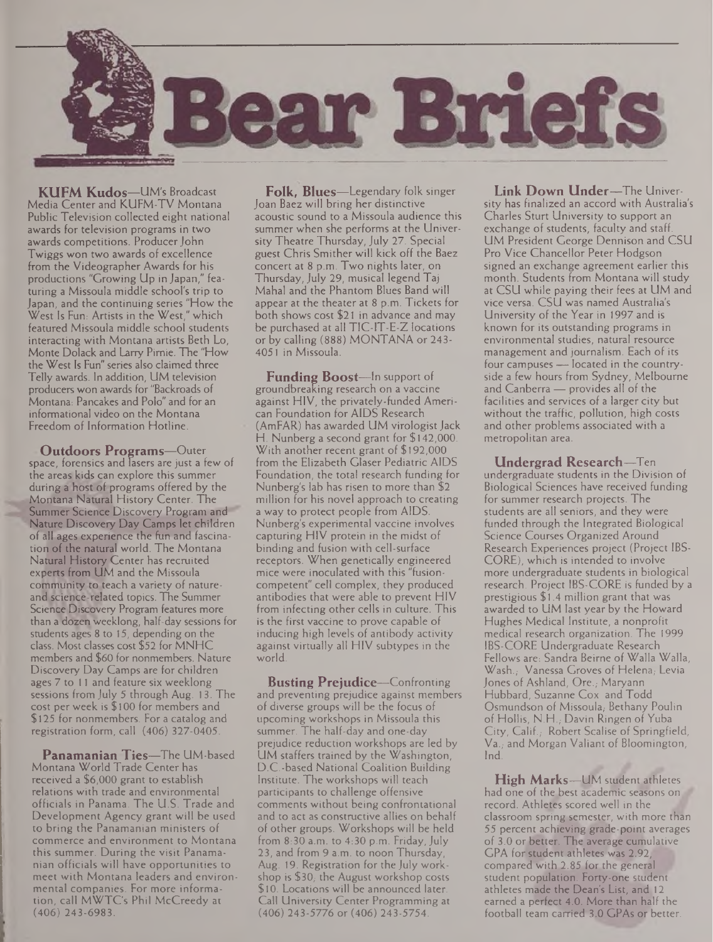

**KUFM Kudos—**UM's Broadcast Media Center and KUFM-TV Montana Public Television collected eight national awards for television programs in two awards competitions. Producer John Twiggs won two awards of excellence from the Videographer Awards for his productions "Growing Up in Japan," featuring a Missoula middle school's trip to Japan, and the continuing series "How the West Is Fun: Artists in the West," which featured Missoula middle school students interacting with Montana artists Beth Lo, Monte Dolack and Larry Pimie. The "How the West Is Fun" series also claimed three Telly awards. In addition, UM television producers won awards for "Backroads of Montana: Pancakes and Polo" and for an informational video on the Montana Freedom of Information Hotline.

**Outdoors Programs—**Outer space, forensics and lasers are just a few of the areas kids can explore this summer during a host of programs offered by the Montana Natural History Center. The Summer Science Discovery Program and Nature Discovery Day Camps let children of all ages experience the fun and fascination of the natural world. The Montana Natural History Center has recruited experts from UM and the Missoula community to teach a variety of natureand science-related topics. The Summer Science Discovery Program features more than a dozen weeklong, half-day sessions for students ages 8 to 15, depending on the class. Most classes cost \$52 for MNHC members and \$60 for nonmembers. Nature Discovery Day Camps are for children ages 7 to <sup>11</sup> and feature six weeklong sessions from July 5 through Aug. 13. The cost per week is \$100 for members and \$125 for nonmembers. For a catalog and registration form, call (406) 327-0405.

**Panamanian Ties—**The UM-based Montana World Trade Center has received a \$6,000 grant to establish relations with trade and environmental officials in Panama. The U.S. Trade and Development Agency grant will be used to bring the Panamanian ministers of commerce and environment to Montana this summer. During the visit Panamanian officials will have opportunities to meet with Montana leaders and environmental companies. For more information, call MWTC's Phil McCreedy at (406) 243-6983.

**Folk, Blues—**Legendary folk singer Joan Baez will bring her distinctive acoustic sound to a Missoula audience this summer when she performs at the University Theatre Thursday, July 27. Special guest Chris Smither will kick off the Baez concert at 8 p.m. Two nights later, on Thursday, July 29, musical legend Taj Mahal and the Phantom Blues Band will appear at the theater at 8 p.m. Tickets for both shows cost \$21 in advance and may be purchased at all TIC-1T-E-Z locations or by calling (888) MONTANA or 243- 4051 in Missoula.

**Funding Boost—**In support of groundbreaking research on a vaccine against HIV, the privately-funded American Foundation for AIDS Research (AmFAR) has awarded UM virologist Jack H. Nunberg a second grant for \$142,000. With another recent grant of \$192,000 from the Elizabeth Glaser Pediatric AIDS Foundation, the total research funding for Nunberg's lab has risen to more than \$2 million for his novel approach to creating a way to protect people from AIDS. Nunberg's experimental vaccine involves capturing HIV protein in the midst of binding and fusion with cell-surface receptors. When genetically engineered mice were inoculated with this "fusioncompetent" cell complex, they produced antibodies that were able to prevent HIV from infecting other cells in culture. This is the first vaccine to prove capable of inducing high levels of antibody activity against virtually all HIV subtypes in the world.

**Busting Prejudice—**Confronting and preventing prejudice against members of diverse groups will be the focus of upcoming workshops in Missoula this summer. The half-day and one-day prejudice reduction workshops are led by UM staffers trained by the Washington, D.C.-based National Coalition Building Institute. The workshops will teach participants to challenge offensive comments without being confrontational and to act as constructive allies on behalf of other groups. Workshops will be held from 8:30 a.m. to 4:30 p.m. Friday, July 23, and from 9 a.m. to noon Thursday, Aug. 19. Registration for the July workshop is  $$30;$  the August workshop costs \$10. Locations will be announced later. Call University Center Programming at (406) 243-5776 or (406) 243-5754.

**Link Down Under—**The University has finalized an accord with Australia's Charles Sturt University to support an exchange of students, faculty and staff. UM President George Dennison and CSU Pro Vice Chancellor Peter Hodgson signed an exchange agreement earlier this month. Students from Montana will study at CSU while paying their fees at UM and vice versa. CSU was named Australia's University of the Year in 1997 and is known for its outstanding programs in environmental studies, natural resource management and journalism. Each of its four campuses — located in the countryside a few hours from Sydney, Melbourne and Canberra — provides all of the facilities and services of a larger city but without the traffic, pollution, high costs and other problems associated with a metropolitan area.

**Undergrad Research—**Ten undergraduate students in the Division of Biological Sciences have received funding for summer research projects. The students are all seniors, and they were funded through the Integrated Biological Science Courses Organized Around Research Experiences project (Project IBS-CORE), which is intended to involve more undergraduate students in biological research. Project IBS-CORE is funded by a prestigious \$1.4 million grant that was awarded to UM last year by the Howard Hughes Medical Institute, a nonprofit medical research organization. The 1999 IBS-CORE Undergraduate Research Fellows are: Sandra Beirne of Walla Walla, Wash., Vanessa Groves of Helena, Levia Jones of Ashland, Ore., Maryann Hubbard, Suzanne Cox and Todd Osmundson of Missoula, Bethany Poulin of Hollis, N.H., Davin Ringen of Yuba City, Calif.,- Robert Scalise of Springfield, Va.; and Morgan Valiant of Bloomington, Ind.

**High Marks—**UM student athletes had one of the best academic seasons on record. Athletes scored well in the classroom spring semester, with more than 55 percent achieving grade-point averages of 3.0 or better. The average cumulative GPA for student athletes was 2.92 compared with 2.85 for the general student population. Forty-one student athletes made the Dean's List, and 12 earned a perfect 4.0. More than half the football team carried 3.0 GPAs or better.